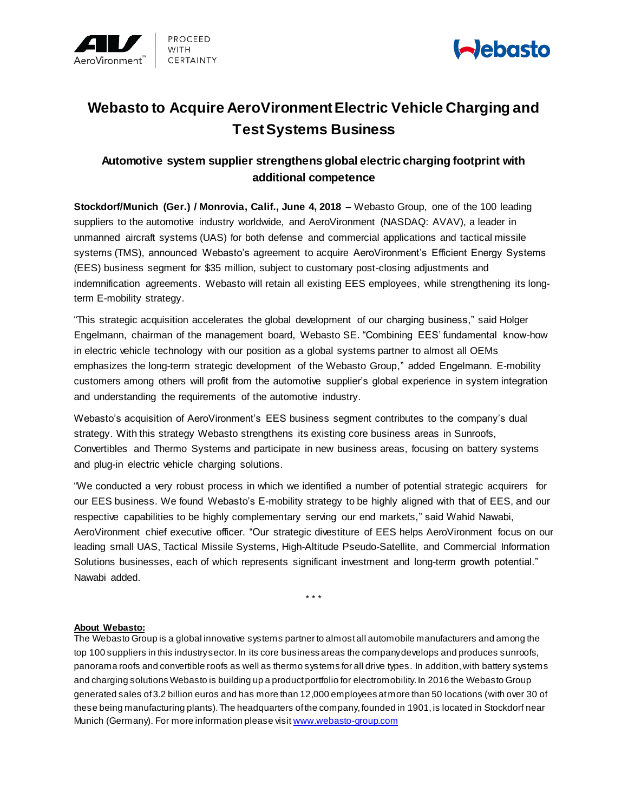



# **Webasto to Acquire AeroVironment Electric Vehicle Charging and Test Systems Business**

## **Automotive system supplier strengthens global electric charging footprint with additional competence**

**Stockdorf/Munich (Ger.) / Monrovia, Calif., June 4, 2018 –** Webasto Group, one of the 100 leading suppliers to the automotive industry worldwide, and AeroVironment (NASDAQ: AVAV), a leader in unmanned aircraft systems (UAS) for both defense and commercial applications and tactical missile systems (TMS), announced Webasto's agreement to acquire AeroVironment's Efficient Energy Systems (EES) business segment for \$35 million, subject to customary post-closing adjustments and indemnification agreements. Webasto will retain all existing EES employees, while strengthening its longterm E-mobility strategy.

"This strategic acquisition accelerates the global development of our charging business," said Holger Engelmann, chairman of the management board, Webasto SE. "Combining EES' fundamental know-how in electric vehicle technology with our position as a global systems partner to almost all OEMs emphasizes the long-term strategic development of the Webasto Group," added Engelmann. E-mobility customers among others will profit from the automotive supplier's global experience in system integration and understanding the requirements of the automotive industry.

Webasto's acquisition of AeroVironment's EES business segment contributes to the company's dual strategy. With this strategy Webasto strengthens its existing core business areas in Sunroofs, Convertibles and Thermo Systems and participate in new business areas, focusing on battery systems and plug-in electric vehicle charging solutions.

"We conducted a very robust process in which we identified a number of potential strategic acquirers for our EES business. We found Webasto's E-mobility strategy to be highly aligned with that of EES, and our respective capabilities to be highly complementary serving our end markets," said Wahid Nawabi, AeroVironment chief executive officer. "Our strategic divestiture of EES helps AeroVironment focus on our leading small UAS, Tactical Missile Systems, High-Altitude Pseudo-Satellite, and Commercial Information Solutions businesses, each of which represents significant investment and long-term growth potential." Nawabi added.

\* \* \*

### **About Webasto:**

The Webasto Group is a global innovative systems partner to almost all automobile manufacturers and among the top 100 suppliers in this industry sector. In its core business areas the company develops and produces sunroofs, panorama roofs and convertible roofs as well as thermo systems for all drive types. In addition, with battery systems and charging solutions Webasto is building up a product portfolio for electromobility. In 2016 the Webasto Group generated sales of 3.2 billion euros and has more than 12,000 employees at more than 50 locations (with over 30 of these being manufacturing plants). The headquarters of the company, founded in 1901, is located in Stockdorf near Munich (Germany). For more information please visi[t www.webasto-group.com](http://www.webasto-group.com/)